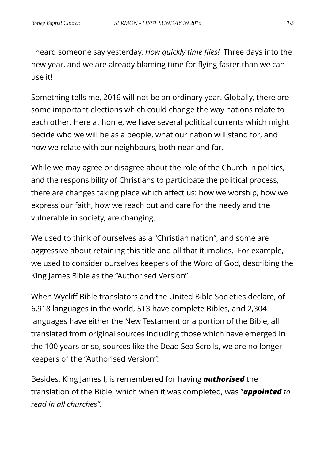I heard someone say yesterday, *How quickly time flies!* Three days into the new year, and we are already blaming time for flying faster than we can use it!

Something tells me, 2016 will not be an ordinary year. Globally, there are some important elections which could change the way nations relate to each other. Here at home, we have several political currents which might decide who we will be as a people, what our nation will stand for, and how we relate with our neighbours, both near and far.

While we may agree or disagree about the role of the Church in politics, and the responsibility of Christians to participate the political process, there are changes taking place which affect us: how we worship, how we express our faith, how we reach out and care for the needy and the vulnerable in society, are changing.

We used to think of ourselves as a "Christian nation", and some are aggressive about retaining this title and all that it implies. For example, we used to consider ourselves keepers of the Word of God, describing the King James Bible as the "Authorised Version".

When Wycliff Bible translators and the United Bible Societies declare, of 6,918 languages in the world, 513 have complete Bibles, and 2,304 languages have either the New Testament or a portion of the Bible, all translated from original sources including those which have emerged in the 100 years or so, sources like the Dead Sea Scrolls, we are no longer keepers of the "Authorised Version"!

Besides, King James I, is remembered for having *authorised* the translation of the Bible, which when it was completed, was "*appointed to read in all churches"*.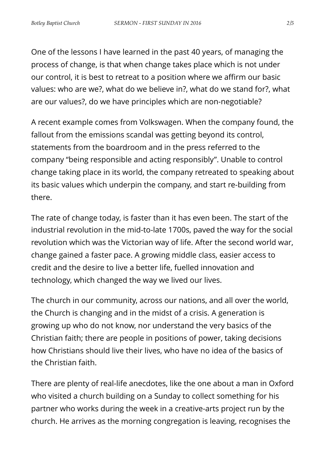One of the lessons I have learned in the past 40 years, of managing the process of change, is that when change takes place which is not under our control, it is best to retreat to a position where we affirm our basic values: who are we?, what do we believe in?, what do we stand for?, what are our values?, do we have principles which are non-negotiable?

A recent example comes from Volkswagen. When the company found, the fallout from the emissions scandal was getting beyond its control, statements from the boardroom and in the press referred to the company "being responsible and acting responsibly". Unable to control change taking place in its world, the company retreated to speaking about its basic values which underpin the company, and start re-building from there.

The rate of change today, is faster than it has even been. The start of the industrial revolution in the mid-to-late 1700s, paved the way for the social revolution which was the Victorian way of life. After the second world war, change gained a faster pace. A growing middle class, easier access to credit and the desire to live a better life, fuelled innovation and technology, which changed the way we lived our lives.

The church in our community, across our nations, and all over the world, the Church is changing and in the midst of a crisis. A generation is growing up who do not know, nor understand the very basics of the Christian faith; there are people in positions of power, taking decisions how Christians should live their lives, who have no idea of the basics of the Christian faith.

There are plenty of real-life anecdotes, like the one about a man in Oxford who visited a church building on a Sunday to collect something for his partner who works during the week in a creative-arts project run by the church. He arrives as the morning congregation is leaving, recognises the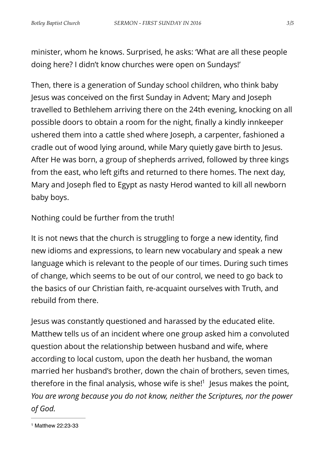minister, whom he knows. Surprised, he asks: 'What are all these people doing here? I didn't know churches were open on Sundays!'

Then, there is a generation of Sunday school children, who think baby Jesus was conceived on the first Sunday in Advent; Mary and Joseph travelled to Bethlehem arriving there on the 24th evening, knocking on all possible doors to obtain a room for the night, finally a kindly innkeeper ushered them into a cattle shed where Joseph, a carpenter, fashioned a cradle out of wood lying around, while Mary quietly gave birth to Jesus. After He was born, a group of shepherds arrived, followed by three kings from the east, who left gifts and returned to there homes. The next day, Mary and Joseph fled to Egypt as nasty Herod wanted to kill all newborn baby boys.

Nothing could be further from the truth!

It is not news that the church is struggling to forge a new identity, find new idioms and expressions, to learn new vocabulary and speak a new language which is relevant to the people of our times. During such times of change, which seems to be out of our control, we need to go back to the basics of our Christian faith, re-acquaint ourselves with Truth, and rebuild from there.

Jesus was constantly questioned and harassed by the educated elite. Matthew tells us of an incident where one group asked him a convoluted question about the relationship between husband and wife, where according to local custom, upon the death her husband, the woman married her husband's brother, down the chain of brothers, seven times, therefore in the final analysis, whose wife is she[!](#page-2-0) $<sup>1</sup>$  $<sup>1</sup>$  $<sup>1</sup>$  Jesus makes the point,</sup> *You are wrong because you do not know, neither the Scriptures, nor the power of God.*

<span id="page-2-1"></span><span id="page-2-0"></span><sup>&</sup>lt;sup>[1](#page-2-1)</sup> Matthew 22:23-33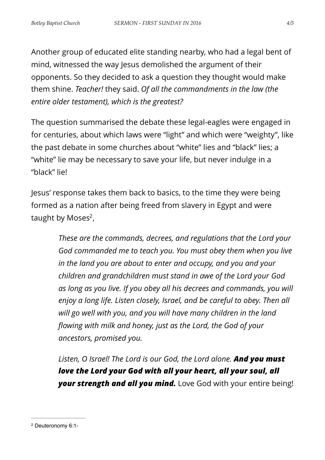Another group of educated elite standing nearby, who had a legal bent of mind, witnessed the way Jesus demolished the argument of their opponents. So they decided to ask a question they thought would make them shine. *Teacher!* they said. *Of all the commandments in the law (the entire older testament), which is the greatest?*

The question summarised the debate these legal-eagles were engaged in for centuries, about which laws were "light" and which were "weighty", like the past debate in some churches about "white" lies and "black" lies; a "white" lie may be necessary to save your life, but never indulge in a "black" lie!

Jesus' response takes them back to basics, to the time they were being formed as a nation after being freed from slavery in Egypt and were taught by Moses $2$ [,](#page-3-0)

> <span id="page-3-1"></span>*These are the commands, decrees, and regulations that the Lord your God commanded me to teach you. You must obey them when you live in the land you are about to enter and occupy, and you and your children and grandchildren must stand in awe of the Lord your God as long as you live. If you obey all his decrees and commands, you will enjoy a long life. Listen closely, Israel, and be careful to obey. Then all will go well with you, and you will have many children in the land flowing with milk and honey, just as the Lord, the God of your ancestors, promised you.*

> *Listen, O Israel! The Lord is our God, the Lord alone. And you must love the Lord your God with all your heart, all your soul, all your strength and all you mind.* Love God with your entire being!

<span id="page-3-0"></span><sup>&</sup>lt;sup>[2](#page-3-1)</sup> Deuteronomy 6:1-